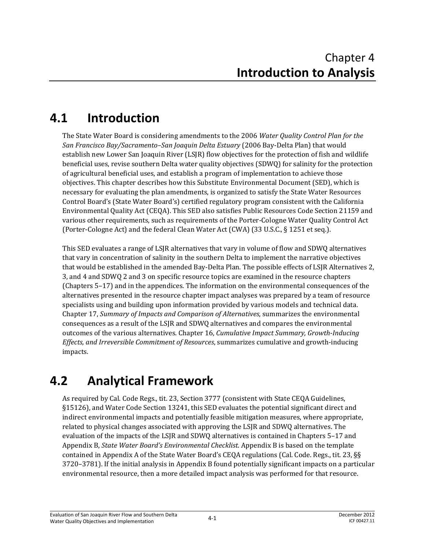## **4.1 Introduction**

The State Water Board is considering amendments to the 2006 *Water Quality Control Plan for the San Francisco Bay/Sacramento–San Joaquin Delta Estuary* (2006 Bay-Delta Plan) that would establish new Lower San Joaquin River (LSJR) flow objectives for the protection of fish and wildlife beneficial uses, revise southern Delta water quality objectives (SDWQ) for salinity for the protection of agricultural beneficial uses, and establish a program of implementation to achieve those objectives. This chapter describes how this Substitute Environmental Document (SED), which is necessary for evaluating the plan amendments, is organized to satisfy the State Water Resources Control Board's (State Water Board's) certified regulatory program consistent with the California Environmental Quality Act (CEQA). This SED also satisfies Public Resources Code Section 21159 and various other requirements, such as requirements of the Porter-Cologne Water Quality Control Act (Porter-Cologne Act) and the federal Clean Water Act (CWA) (33 U.S.C., § 1251 et seq.).

This SED evaluates a range of LSJR alternatives that vary in volume of flow and SDWQ alternatives that vary in concentration of salinity in the southern Delta to implement the narrative objectives that would be established in the amended Bay-Delta Plan. The possible effects of LSJR Alternatives 2, 3, and 4 and SDWQ 2 and 3 on specific resource topics are examined in the resource chapters (Chapters 5–17) and in the appendices. The information on the environmental consequences of the alternatives presented in the resource chapter impact analyses was prepared by a team of resource specialists using and building upon information provided by various models and technical data. Chapter 17, *Summary of Impacts and Comparison of Alternatives*, summarizes the environmental consequences as a result of the LSJR and SDWQ alternatives and compares the environmental outcomes of the various alternatives. Chapter 16, *Cumulative Impact Summary, Growth-Inducing Effects, and Irreversible Commitment of Resources*, summarizes cumulative and growth-inducing impacts.

## **4.2 Analytical Framework**

As required by Cal. Code Regs., tit. 23, Section 3777 (consistent with State CEQA Guidelines, §15126), and Water Code Section 13241, this SED evaluates the potential significant direct and indirect environmental impacts and potentially feasible mitigation measures, where appropriate, related to physical changes associated with approving the LSJR and SDWQ alternatives. The evaluation of the impacts of the LSJR and SDWQ alternatives is contained in Chapters 5–17 and Appendix B, *State Water Board's Environmental Checklist*. Appendix B is based on the template contained in Appendix A of the State Water Board's CEQA regulations (Cal. Code. Regs., tit. 23, §§ 3720–3781). If the initial analysis in Appendix B found potentially significant impacts on a particular environmental resource, then a more detailed impact analysis was performed for that resource.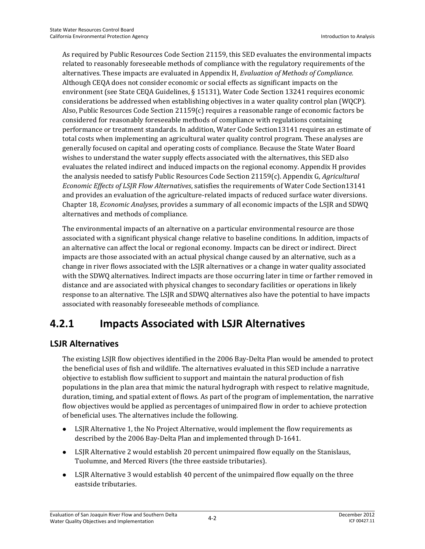As required by Public Resources Code Section 21159, this SED evaluates the environmental impacts related to reasonably foreseeable methods of compliance with the regulatory requirements of the alternatives. These impacts are evaluated in Appendix H, *Evaluation of Methods of Compliance.* Although CEQA does not consider economic or social effects as significant impacts on the environment (see State CEQA Guidelines, § 15131), Water Code Section 13241 requires economic considerations be addressed when establishing objectives in a water quality control plan (WQCP). Also, Public Resources Code Section 21159(c) requires a reasonable range of economic factors be considered for reasonably foreseeable methods of compliance with regulations containing performance or treatment standards. In addition, Water Code Section13141 requires an estimate of total costs when implementing an agricultural water quality control program. These analyses are generally focused on capital and operating costs of compliance. Because the State Water Board wishes to understand the water supply effects associated with the alternatives, this SED also evaluates the related indirect and induced impacts on the regional economy. Appendix H provides the analysis needed to satisfy Public Resources Code Section 21159(c). Appendix G, *Agricultural Economic Effects of LSJR Flow Alternatives*, satisfies the requirements of Water Code Section13141 and provides an evaluation of the agriculture-related impacts of reduced surface water diversions. Chapter 18, *Economic Analyses*, provides a summary of all economic impacts of the LSJR and SDWQ alternatives and methods of compliance.

The environmental impacts of an alternative on a particular environmental resource are those associated with a significant physical change relative to baseline conditions. In addition, impacts of an alternative can affect the local or regional economy. Impacts can be direct or indirect. Direct impacts are those associated with an actual physical change caused by an alternative, such as a change in river flows associated with the LSJR alternatives or a change in water quality associated with the SDWQ alternatives. Indirect impacts are those occurring later in time or farther removed in distance and are associated with physical changes to secondary facilities or operations in likely response to an alternative. The LSJR and SDWQ alternatives also have the potential to have impacts associated with reasonably foreseeable methods of compliance.

## **4.2.1 Impacts Associated with LSJR Alternatives**

#### **LSJR Alternatives**

The existing LSJR flow objectives identified in the 2006 Bay-Delta Plan would be amended to protect the beneficial uses of fish and wildlife. The alternatives evaluated in this SED include a narrative objective to establish flow sufficient to support and maintain the natural production of fish populations in the plan area that mimic the natural hydrograph with respect to relative magnitude, duration, timing, and spatial extent of flows. As part of the program of implementation, the narrative flow objectives would be applied as percentages of unimpaired flow in order to achieve protection of beneficial uses. The alternatives include the following.

- LSJR Alternative 1, the No Project Alternative, would implement the flow requirements as described by the 2006 Bay-Delta Plan and implemented through D-1641.
- LSJR Alternative 2 would establish 20 percent unimpaired flow equally on the Stanislaus, Tuolumne, and Merced Rivers (the three eastside tributaries).
- LSJR Alternative 3 would establish 40 percent of the unimpaired flow equally on the three eastside tributaries.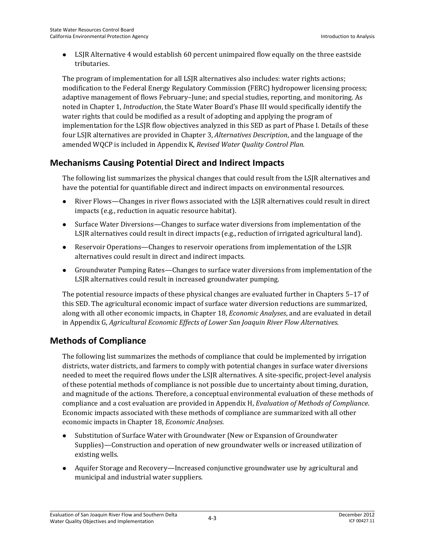LSJR Alternative 4 would establish 60 percent unimpaired flow equally on the three eastside tributaries.

The program of implementation for all LSJR alternatives also includes: water rights actions; modification to the Federal Energy Regulatory Commission (FERC) hydropower licensing process; adaptive management of flows February–June; and special studies, reporting, and monitoring. As noted in Chapter 1, *Introduction*, the State Water Board's Phase III would specifically identify the water rights that could be modified as a result of adopting and applying the program of implementation for the LSJR flow objectives analyzed in this SED as part of Phase I. Details of these four LSJR alternatives are provided in Chapter 3, *Alternatives Description*, and the language of the amended WQCP is included in Appendix K, *Revised Water Quality Control Plan.*

#### **Mechanisms Causing Potential Direct and Indirect Impacts**

The following list summarizes the physical changes that could result from the LSJR alternatives and have the potential for quantifiable direct and indirect impacts on environmental resources.

- River Flows—Changes in river flows associated with the LSJR alternatives could result in direct impacts (e.g., reduction in aquatic resource habitat).
- Surface Water Diversions—Changes to surface water diversions from implementation of the LSJR alternatives could result in direct impacts (e.g., reduction of irrigated agricultural land).
- Reservoir Operations—Changes to reservoir operations from implementation of the LSJR alternatives could result in direct and indirect impacts.
- Groundwater Pumping Rates—Changes to surface water diversions from implementation of the LSJR alternatives could result in increased groundwater pumping.

The potential resource impacts of these physical changes are evaluated further in Chapters 5–17 of this SED. The agricultural economic impact of surface water diversion reductions are summarized, along with all other economic impacts, in Chapter 18, *Economic Analyses*, and are evaluated in detail in Appendix G, *Agricultural Economic Effects of Lower San Joaquin River Flow Alternatives*.

#### **Methods of Compliance**

The following list summarizes the methods of compliance that could be implemented by irrigation districts, water districts, and farmers to comply with potential changes in surface water diversions needed to meet the required flows under the LSJR alternatives. A site-specific, project-level analysis of these potential methods of compliance is not possible due to uncertainty about timing, duration, and magnitude of the actions. Therefore, a conceptual environmental evaluation of these methods of compliance and a cost evaluation are provided in Appendix H, *Evaluation of Methods of Compliance*. Economic impacts associated with these methods of compliance are summarized with all other economic impacts in Chapter 18, *Economic Analyses*.

- Substitution of Surface Water with Groundwater (New or Expansion of Groundwater Supplies)—Construction and operation of new groundwater wells or increased utilization of existing wells.
- Aquifer Storage and Recovery—Increased conjunctive groundwater use by agricultural and municipal and industrial water suppliers.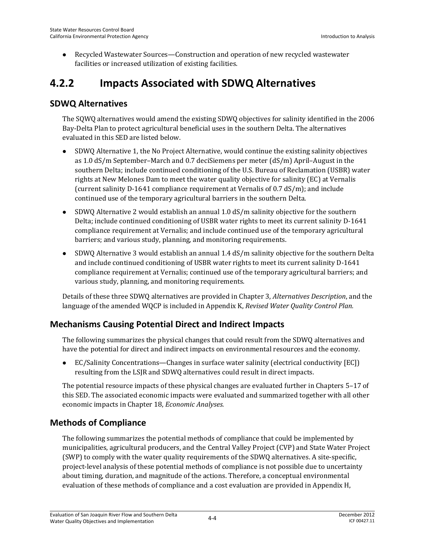Recycled Wastewater Sources—Construction and operation of new recycled wastewater facilities or increased utilization of existing facilities.

### **4.2.2 Impacts Associated with SDWQ Alternatives**

#### **SDWQ Alternatives**

The SQWQ alternatives would amend the existing SDWQ objectives for salinity identified in the 2006 Bay-Delta Plan to protect agricultural beneficial uses in the southern Delta. The alternatives evaluated in this SED are listed below.

- SDWQ Alternative 1, the No Project Alternative, would continue the existing salinity objectives as 1.0 dS/m September–March and 0.7 deciSiemens per meter (dS/m) April–August in the southern Delta; include continued conditioning of the U.S. Bureau of Reclamation (USBR) water rights at New Melones Dam to meet the water quality objective for salinity (EC) at Vernalis (current salinity D-1641 compliance requirement at Vernalis of 0.7 dS/m); and include continued use of the temporary agricultural barriers in the southern Delta.
- SDWQ Alternative 2 would establish an annual 1.0 dS/m salinity objective for the southern Delta; include continued conditioning of USBR water rights to meet its current salinity D-1641 compliance requirement at Vernalis; and include continued use of the temporary agricultural barriers; and various study, planning, and monitoring requirements.
- SDWQ Alternative 3 would establish an annual 1.4 dS/m salinity objective for the southern Delta and include continued conditioning of USBR water rights to meet its current salinity D-1641 compliance requirement at Vernalis; continued use of the temporary agricultural barriers; and various study, planning, and monitoring requirements.

Details of these three SDWQ alternatives are provided in Chapter 3, *Alternatives Description*, and the language of the amended WQCP is included in Appendix K, *Revised Water Quality Control Plan.*

#### **Mechanisms Causing Potential Direct and Indirect Impacts**

The following summarizes the physical changes that could result from the SDWQ alternatives and have the potential for direct and indirect impacts on environmental resources and the economy.

 EC/Salinity Concentrations—Changes in surface water salinity (electrical conductivity [EC]) resulting from the LSJR and SDWQ alternatives could result in direct impacts.

The potential resource impacts of these physical changes are evaluated further in Chapters 5–17 of this SED. The associated economic impacts were evaluated and summarized together with all other economic impacts in Chapter 18, *Economic Analyses.*

#### **Methods of Compliance**

The following summarizes the potential methods of compliance that could be implemented by municipalities, agricultural producers, and the Central Valley Project (CVP) and State Water Project (SWP) to comply with the water quality requirements of the SDWQ alternatives. A site-specific, project-level analysis of these potential methods of compliance is not possible due to uncertainty about timing, duration, and magnitude of the actions. Therefore, a conceptual environmental evaluation of these methods of compliance and a cost evaluation are provided in Appendix H,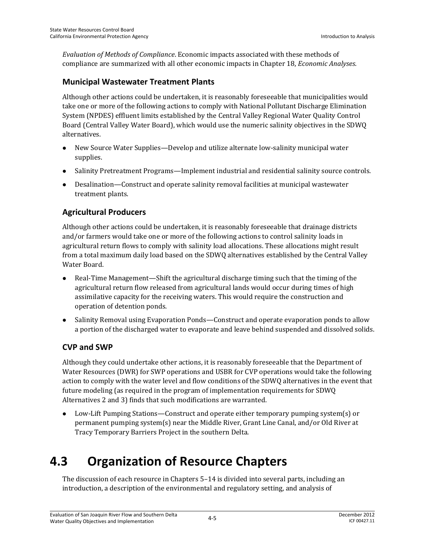*Evaluation of Methods of Compliance*. Economic impacts associated with these methods of compliance are summarized with all other economic impacts in Chapter 18, *Economic Analyses*.

#### **Municipal Wastewater Treatment Plants**

Although other actions could be undertaken, it is reasonably foreseeable that municipalities would take one or more of the following actions to comply with National Pollutant Discharge Elimination System (NPDES) effluent limits established by the Central Valley Regional Water Quality Control Board (Central Valley Water Board), which would use the numeric salinity objectives in the SDWQ alternatives.

- New Source Water Supplies—Develop and utilize alternate low-salinity municipal water supplies.
- Salinity Pretreatment Programs—Implement industrial and residential salinity source controls.
- Desalination—Construct and operate salinity removal facilities at municipal wastewater treatment plants.

#### **Agricultural Producers**

Although other actions could be undertaken, it is reasonably foreseeable that drainage districts and/or farmers would take one or more of the following actions to control salinity loads in agricultural return flows to comply with salinity load allocations. These allocations might result from a total maximum daily load based on the SDWQ alternatives established by the Central Valley Water Board.

- Real-Time Management—Shift the agricultural discharge timing such that the timing of the agricultural return flow released from agricultural lands would occur during times of high assimilative capacity for the receiving waters. This would require the construction and operation of detention ponds.
- Salinity Removal using Evaporation Ponds—Construct and operate evaporation ponds to allow a portion of the discharged water to evaporate and leave behind suspended and dissolved solids.

#### **CVP and SWP**

Although they could undertake other actions, it is reasonably foreseeable that the Department of Water Resources (DWR) for SWP operations and USBR for CVP operations would take the following action to comply with the water level and flow conditions of the SDWQ alternatives in the event that future modeling (as required in the program of implementation requirements for SDWQ Alternatives 2 and 3) finds that such modifications are warranted.

 Low-Lift Pumping Stations—Construct and operate either temporary pumping system(s) or permanent pumping system(s) near the Middle River, Grant Line Canal, and/or Old River at Tracy Temporary Barriers Project in the southern Delta.

# **4.3 Organization of Resource Chapters**

The discussion of each resource in Chapters 5–14 is divided into several parts, including an introduction, a description of the environmental and regulatory setting, and analysis of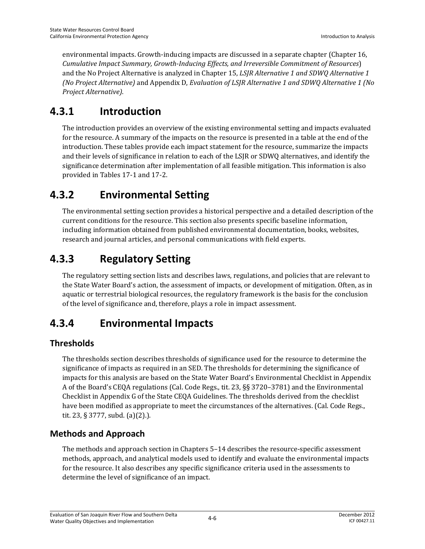environmental impacts. Growth-inducing impacts are discussed in a separate chapter (Chapter 16, *Cumulative Impact Summary, Growth-Inducing Effects, and Irreversible Commitment of Resources*) and the No Project Alternative is analyzed in Chapter 15, *LSJR Alternative 1 and SDWQ Alternative 1 (No Project Alternative)* and Appendix D, *Evaluation of LSJR Alternative 1 and SDWQ Alternative 1 (No Project Alternative)*.

### **4.3.1 Introduction**

The introduction provides an overview of the existing environmental setting and impacts evaluated for the resource. A summary of the impacts on the resource is presented in a table at the end of the introduction. These tables provide each impact statement for the resource, summarize the impacts and their levels of significance in relation to each of the LSJR or SDWQ alternatives, and identify the significance determination after implementation of all feasible mitigation. This information is also provided in Tables 17-1 and 17-2.

## **4.3.2 Environmental Setting**

The environmental setting section provides a historical perspective and a detailed description of the current conditions for the resource. This section also presents specific baseline information, including information obtained from published environmental documentation, books, websites, research and journal articles, and personal communications with field experts.

## **4.3.3 Regulatory Setting**

The regulatory setting section lists and describes laws, regulations, and policies that are relevant to the State Water Board's action, the assessment of impacts, or development of mitigation. Often, as in aquatic or terrestrial biological resources, the regulatory framework is the basis for the conclusion of the level of significance and, therefore, plays a role in impact assessment.

## **4.3.4 Environmental Impacts**

#### **Thresholds**

The thresholds section describes thresholds of significance used for the resource to determine the significance of impacts as required in an SED. The thresholds for determining the significance of impacts for this analysis are based on the State Water Board's Environmental Checklist in Appendix A of the Board's CEQA regulations (Cal. Code Regs., tit. 23, §§ 3720–3781) and the Environmental Checklist in Appendix G of the State CEQA Guidelines. The thresholds derived from the checklist have been modified as appropriate to meet the circumstances of the alternatives. (Cal. Code Regs., tit. 23, § 3777, subd. (a)(2).).

#### **Methods and Approach**

The methods and approach section in Chapters 5–14 describes the resource-specific assessment methods, approach, and analytical models used to identify and evaluate the environmental impacts for the resource. It also describes any specific significance criteria used in the assessments to determine the level of significance of an impact.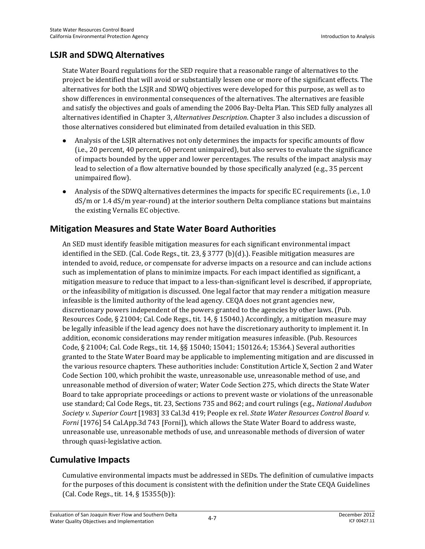#### **LSJR and SDWQ Alternatives**

State Water Board regulations for the SED require that a reasonable range of alternatives to the project be identified that will avoid or substantially lessen one or more of the significant effects. The alternatives for both the LSJR and SDWQ objectives were developed for this purpose, as well as to show differences in environmental consequences of the alternatives. The alternatives are feasible and satisfy the objectives and goals of amending the 2006 Bay-Delta Plan. This SED fully analyzes all alternatives identified in Chapter 3, *Alternatives Description*. Chapter 3 also includes a discussion of those alternatives considered but eliminated from detailed evaluation in this SED.

- Analysis of the LSJR alternatives not only determines the impacts for specific amounts of flow (i.e., 20 percent, 40 percent, 60 percent unimpaired), but also serves to evaluate the significance of impacts bounded by the upper and lower percentages. The results of the impact analysis may lead to selection of a flow alternative bounded by those specifically analyzed (e.g., 35 percent unimpaired flow).
- Analysis of the SDWQ alternatives determines the impacts for specific EC requirements (i.e., 1.0 dS/m or 1.4 dS/m year-round) at the interior southern Delta compliance stations but maintains the existing Vernalis EC objective.

#### **Mitigation Measures and State Water Board Authorities**

An SED must identify feasible mitigation measures for each significant environmental impact identified in the SED. (Cal. Code Regs., tit. 23,  $\S 3777$  (b)(d).). Feasible mitigation measures are intended to avoid, reduce, or compensate for adverse impacts on a resource and can include actions such as implementation of plans to minimize impacts. For each impact identified as significant, a mitigation measure to reduce that impact to a less-than-significant level is described, if appropriate, or the infeasibility of mitigation is discussed. One legal factor that may render a mitigation measure infeasible is the limited authority of the lead agency. CEQA does not grant agencies new, discretionary powers independent of the powers granted to the agencies by other laws. (Pub. Resources Code, § 21004; Cal. Code Regs., tit. 14, § 15040.) Accordingly, a mitigation measure may be legally infeasible if the lead agency does not have the discretionary authority to implement it. In addition, economic considerations may render mitigation measures infeasible. (Pub. Resources Code, § 21004; Cal. Code Regs., tit. 14, §§ 15040; 15041; 150126.4; 15364.) Several authorities granted to the State Water Board may be applicable to implementing mitigation and are discussed in the various resource chapters. These authorities include: Constitution Article X, Section 2 and Water Code Section 100, which prohibit the waste, unreasonable use, unreasonable method of use, and unreasonable method of diversion of water; Water Code Section 275, which directs the State Water Board to take appropriate proceedings or actions to prevent waste or violations of the unreasonable use standard; Cal Code Regs., tit. 23, Sections 735 and 862; and court rulings (e.g., *National Audubon Society v. Superior Court* [1983] 33 Cal.3d 419; People ex rel. *State Water Resources Control Board v. Forni* [1976] 54 Cal.App.3d 743 [Forni]), which allows the State Water Board to address waste, unreasonable use, unreasonable methods of use, and unreasonable methods of diversion of water through quasi-legislative action.

#### **Cumulative Impacts**

Cumulative environmental impacts must be addressed in SEDs. The definition of cumulative impacts for the purposes of this document is consistent with the definition under the State CEQA Guidelines (Cal. Code Regs., tit. 14, § 15355(b)):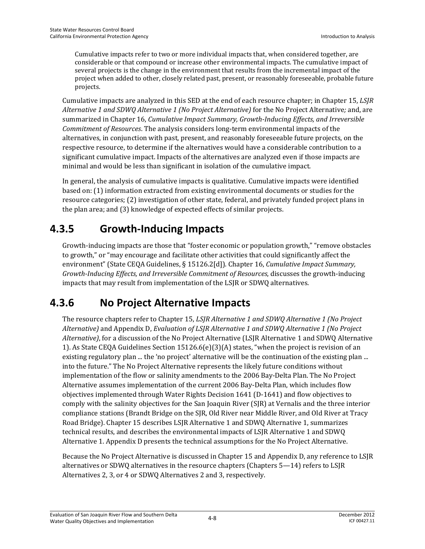Cumulative impacts refer to two or more individual impacts that, when considered together, are considerable or that compound or increase other environmental impacts. The cumulative impact of several projects is the change in the environment that results from the incremental impact of the project when added to other, closely related past, present, or reasonably foreseeable, probable future projects.

Cumulative impacts are analyzed in this SED at the end of each resource chapter; in Chapter 15, *LSJR Alternative 1 and SDWQ Alternative 1 (No Project Alternative)* for the No Project Alternative*;* and, are summarized in Chapter 16, *Cumulative Impact Summary, Growth-Inducing Effects, and Irreversible Commitment of Resources*. The analysis considers long-term environmental impacts of the alternatives, in conjunction with past, present, and reasonably foreseeable future projects, on the respective resource, to determine if the alternatives would have a considerable contribution to a significant cumulative impact. Impacts of the alternatives are analyzed even if those impacts are minimal and would be less than significant in isolation of the cumulative impact.

In general, the analysis of cumulative impacts is qualitative. Cumulative impacts were identified based on: (1) information extracted from existing environmental documents or studies for the resource categories; (2) investigation of other state, federal, and privately funded project plans in the plan area; and (3) knowledge of expected effects of similar projects.

## **4.3.5 Growth-Inducing Impacts**

Growth-inducing impacts are those that "foster economic or population growth," "remove obstacles to growth," or "may encourage and facilitate other activities that could significantly affect the environment" (State CEQA Guidelines, § 15126.2[d]). Chapter 16, *Cumulative Impact Summary, Growth-Inducing Effects, and Irreversible Commitment of Resources*, discusses the growth-inducing impacts that may result from implementation of the LSJR or SDWQ alternatives.

## **4.3.6 No Project Alternative Impacts**

The resource chapters refer to Chapter 15, *LSJR Alternative 1 and SDWQ Alternative 1 (No Project Alternative)* and Appendix D, *Evaluation of LSJR Alternative 1 and SDWQ Alternative 1 (No Project Alternative)*, for a discussion of the No Project Alternative (LSJR Alternative 1 and SDWQ Alternative 1). As State CEQA Guidelines Section 15126.6(e)(3)(A) states, "when the project is revision of an existing regulatory plan ... the 'no project' alternative will be the continuation of the existing plan ... into the future." The No Project Alternative represents the likely future conditions without implementation of the flow or salinity amendments to the 2006 Bay-Delta Plan. The No Project Alternative assumes implementation of the current 2006 Bay-Delta Plan, which includes flow objectives implemented through Water Rights Decision 1641 (D-1641) and flow objectives to comply with the salinity objectives for the San Joaquin River (SJR) at Vernalis and the three interior compliance stations (Brandt Bridge on the SJR, Old River near Middle River, and Old River at Tracy Road Bridge). Chapter 15 describes LSJR Alternative 1 and SDWQ Alternative 1, summarizes technical results, and describes the environmental impacts of LSJR Alternative 1 and SDWQ Alternative 1. Appendix D presents the technical assumptions for the No Project Alternative.

Because the No Project Alternative is discussed in Chapter 15 and Appendix D, any reference to LSJR alternatives or SDWQ alternatives in the resource chapters (Chapters 5—14) refers to LSJR Alternatives 2, 3, or 4 or SDWQ Alternatives 2 and 3, respectively.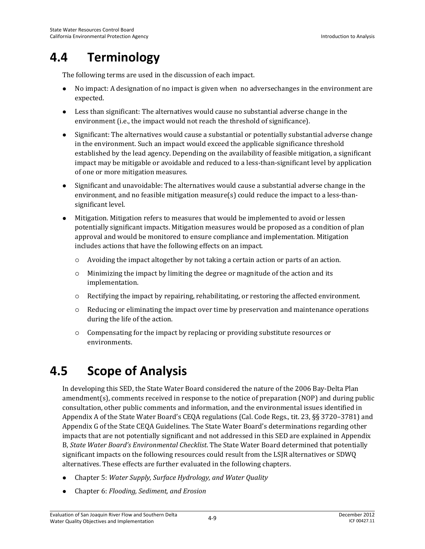# **4.4 Terminology**

The following terms are used in the discussion of each impact.

- No impact: A designation of no impact is given when no adversechanges in the environment are expected.
- Less than significant: The alternatives would cause no substantial adverse change in the environment (i.e., the impact would not reach the threshold of significance).
- Significant: The alternatives would cause a substantial or potentially substantial adverse change in the environment. Such an impact would exceed the applicable significance threshold established by the lead agency. Depending on the availability of feasible mitigation, a significant impact may be mitigable or avoidable and reduced to a less-than-significant level by application of one or more mitigation measures.
- Significant and unavoidable: The alternatives would cause a substantial adverse change in the environment, and no feasible mitigation measure(s) could reduce the impact to a less-thansignificant level.
- Mitigation. Mitigation refers to measures that would be implemented to avoid or lessen potentially significant impacts. Mitigation measures would be proposed as a condition of plan approval and would be monitored to ensure compliance and implementation. Mitigation includes actions that have the following effects on an impact.
	- $\circ$  Avoiding the impact altogether by not taking a certain action or parts of an action.
	- Minimizing the impact by limiting the degree or magnitude of the action and its implementation.
	- $\circ$  Rectifying the impact by repairing, rehabilitating, or restoring the affected environment.
	- $\circ$  Reducing or eliminating the impact over time by preservation and maintenance operations during the life of the action.
	- Compensating for the impact by replacing or providing substitute resources or environments.

## **4.5 Scope of Analysis**

In developing this SED, the State Water Board considered the nature of the 2006 Bay-Delta Plan amendment(s), comments received in response to the notice of preparation (NOP) and during public consultation, other public comments and information, and the environmental issues identified in Appendix A of the State Water Board's CEQA regulations (Cal. Code Regs., tit. 23, §§ 3720–3781) and Appendix G of the State CEQA Guidelines. The State Water Board's determinations regarding other impacts that are not potentially significant and not addressed in this SED are explained in Appendix B, *State Water Board's Environmental Checklist*. The State Water Board determined that potentially significant impacts on the following resources could result from the LSJR alternatives or SDWQ alternatives. These effects are further evaluated in the following chapters.

- Chapter 5: *Water Supply, Surface Hydrology, and Water Quality*
- Chapter 6: *Flooding, Sediment, and Erosion*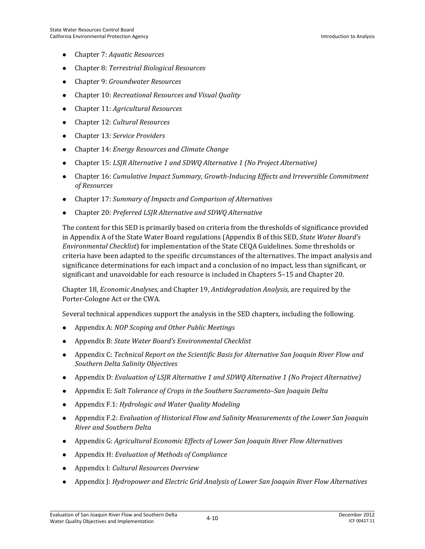- Chapter 7: *Aquatic Resources*
- Chapter 8: *Terrestrial Biological Resources*
- Chapter 9: *Groundwater Resources*
- Chapter 10: *Recreational Resources and Visual Quality*
- Chapter 11: *Agricultural Resources*
- Chapter 12: *Cultural Resources*
- Chapter 13: *Service Providers*
- Chapter 14: *Energy Resources and Climate Change*
- Chapter 15: *LSJR Alternative 1 and SDWQ Alternative 1 (No Project Alternative)*
- Chapter 16: *Cumulative Impact Summary, Growth-Inducing Effects and Irreversible Commitment of Resources*
- Chapter 17: *Summary of Impacts and Comparison of Alternatives*
- Chapter 20: *Preferred LSJR Alternative and SDWQ Alternative*

The content for this SED is primarily based on criteria from the thresholds of significance provided in Appendix A of the State Water Board regulations (Appendix B of this SED, *State Water Board's Environmental Checklist*) for implementation of the State CEQA Guidelines. Some thresholds or criteria have been adapted to the specific circumstances of the alternatives. The impact analysis and significance determinations for each impact and a conclusion of no impact, less than significant, or significant and unavoidable for each resource is included in Chapters 5–15 and Chapter 20.

Chapter 18, *Economic Analyses,* and Chapter 19, *Antidegradation Analysis,* are required by the Porter-Cologne Act or the CWA.

Several technical appendices support the analysis in the SED chapters, including the following.

- Appendix A: *NOP Scoping and Other Public Meetings*
- Appendix B: *State Water Board's Environmental Checklist*
- Appendix C: *Technical Report on the Scientific Basis for Alternative San Joaquin River Flow and Southern Delta Salinity Objectives*
- Appendix D: *Evaluation of LSJR Alternative 1 and SDWQ Alternative 1 (No Project Alternative)*
- Appendix E: *Salt Tolerance of Crops in the Southern Sacramento–San Joaquin Delta*
- Appendix F.1: *Hydrologic and Water Quality Modeling*
- Appendix F.2: *Evaluation of Historical Flow and Salinity Measurements of the Lower San Joaquin River and Southern Delta*
- Appendix G: *Agricultural Economic Effects of Lower San Joaquin River Flow Alternatives*
- Appendix H: *Evaluation of Methods of Compliance*
- Appendix I: *Cultural Resources Overview*
- Appendix J: *Hydropower and Electric Grid Analysis of Lower San Joaquin River Flow Alternatives*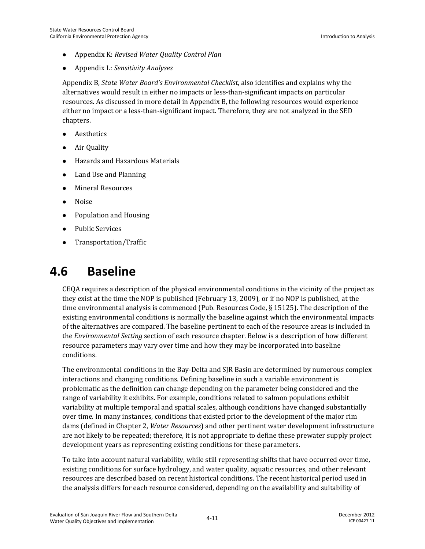- Appendix K: *Revised Water Quality Control Plan*
- Appendix L: *Sensitivity Analyses*

Appendix B, *State Water Board's Environmental Checklist*, also identifies and explains why the alternatives would result in either no impacts or less-than-significant impacts on particular resources. As discussed in more detail in Appendix B, the following resources would experience either no impact or a less-than-significant impact. Therefore, they are not analyzed in the SED chapters.

- Aesthetics
- Air Quality
- Hazards and Hazardous Materials
- Land Use and Planning
- Mineral Resources
- Noise
- Population and Housing
- Public Services
- Transportation/Traffic

## **4.6 Baseline**

CEQA requires a description of the physical environmental conditions in the vicinity of the project as they exist at the time the NOP is published (February 13, 2009), or if no NOP is published, at the time environmental analysis is commenced (Pub. Resources Code, § 15125). The description of the existing environmental conditions is normally the baseline against which the environmental impacts of the alternatives are compared. The baseline pertinent to each of the resource areas is included in the *Environmental Setting* section of each resource chapter. Below is a description of how different resource parameters may vary over time and how they may be incorporated into baseline conditions.

The environmental conditions in the Bay-Delta and SJR Basin are determined by numerous complex interactions and changing conditions. Defining baseline in such a variable environment is problematic as the definition can change depending on the parameter being considered and the range of variability it exhibits. For example, conditions related to salmon populations exhibit variability at multiple temporal and spatial scales, although conditions have changed substantially over time. In many instances, conditions that existed prior to the development of the major rim dams (defined in Chapter 2, *Water Resources*) and other pertinent water development infrastructure are not likely to be repeated; therefore, it is not appropriate to define these prewater supply project development years as representing existing conditions for these parameters.

To take into account natural variability, while still representing shifts that have occurred over time, existing conditions for surface hydrology, and water quality, aquatic resources, and other relevant resources are described based on recent historical conditions. The recent historical period used in the analysis differs for each resource considered, depending on the availability and suitability of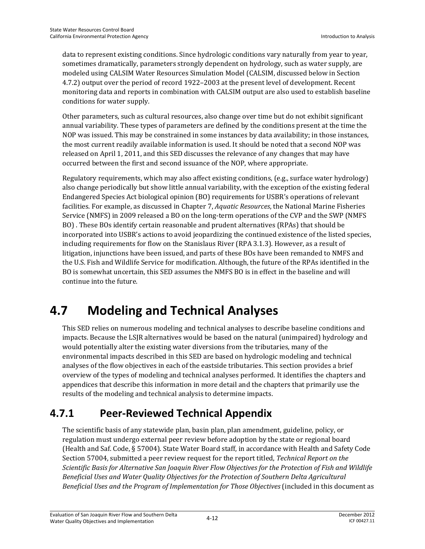data to represent existing conditions. Since hydrologic conditions vary naturally from year to year, sometimes dramatically, parameters strongly dependent on hydrology, such as water supply, are modeled using CALSIM Water Resources Simulation Model (CALSIM, discussed below in Section 4.7.2) output over the period of record 1922–2003 at the present level of development. Recent monitoring data and reports in combination with CALSIM output are also used to establish baseline conditions for water supply.

Other parameters, such as cultural resources, also change over time but do not exhibit significant annual variability. These types of parameters are defined by the conditions present at the time the NOP was issued. This may be constrained in some instances by data availability; in those instances, the most current readily available information is used. It should be noted that a second NOP was released on April 1, 2011, and this SED discusses the relevance of any changes that may have occurred between the first and second issuance of the NOP, where appropriate.

Regulatory requirements, which may also affect existing conditions, (e.g., surface water hydrology) also change periodically but show little annual variability, with the exception of the existing federal Endangered Species Act biological opinion (BO) requirements for USBR's operations of relevant facilities. For example, as discussed in Chapter 7, *Aquatic Resources*, the National Marine Fisheries Service (NMFS) in 2009 released a BO on the long-term operations of the CVP and the SWP (NMFS BO) . These BOs identify certain reasonable and prudent alternatives (RPAs) that should be incorporated into USBR's actions to avoid jeopardizing the continued existence of the listed species, including requirements for flow on the Stanislaus River (RPA 3.1.3). However, as a result of litigation, injunctions have been issued, and parts of these BOs have been remanded to NMFS and the U.S. Fish and Wildlife Service for modification. Although, the future of the RPAs identified in the BO is somewhat uncertain, this SED assumes the NMFS BO is in effect in the baseline and will continue into the future.

# **4.7 Modeling and Technical Analyses**

This SED relies on numerous modeling and technical analyses to describe baseline conditions and impacts. Because the LSJR alternatives would be based on the natural (unimpaired) hydrology and would potentially alter the existing water diversions from the tributaries, many of the environmental impacts described in this SED are based on hydrologic modeling and technical analyses of the flow objectives in each of the eastside tributaries. This section provides a brief overview of the types of modeling and technical analyses performed. It identifies the chapters and appendices that describe this information in more detail and the chapters that primarily use the results of the modeling and technical analysis to determine impacts.

## **4.7.1 Peer-Reviewed Technical Appendix**

The scientific basis of any statewide plan, basin plan, plan amendment, guideline, policy, or regulation must undergo external peer review before adoption by the state or regional board (Health and Saf. Code, § 57004). State Water Board staff, in accordance with Health and Safety Code Section 57004, submitted a peer review request for the report titled, *Technical Report on the Scientific Basis for Alternative San Joaquin River Flow Objectives for the Protection of Fish and Wildlife Beneficial Uses and Water Quality Objectives for the Protection of Southern Delta Agricultural Beneficial Uses and the Program of Implementation for Those Objectives* (included in this document as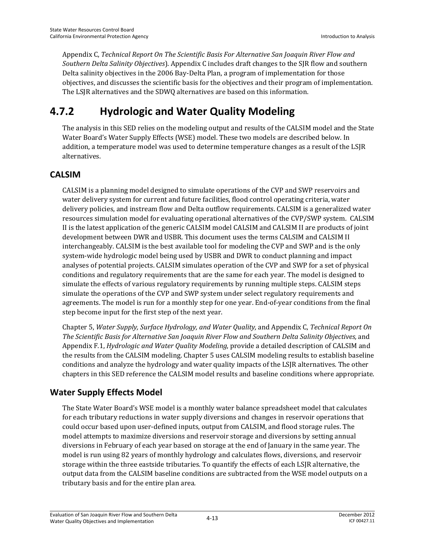Appendix C, *Technical Report On The Scientific Basis For Alternative San Joaquin River Flow and Southern Delta Salinity Objectives*). Appendix C includes draft changes to the SJR flow and southern Delta salinity objectives in the 2006 Bay-Delta Plan, a program of implementation for those objectives, and discusses the scientific basis for the objectives and their program of implementation. The LSJR alternatives and the SDWQ alternatives are based on this information.

## **4.7.2 Hydrologic and Water Quality Modeling**

The analysis in this SED relies on the modeling output and results of the CALSIM model and the State Water Board's Water Supply Effects (WSE) model. These two models are described below. In addition, a temperature model was used to determine temperature changes as a result of the LSJR alternatives.

#### **CALSIM**

CALSIM is a planning model designed to simulate operations of the CVP and SWP reservoirs and water delivery system for current and future facilities, flood control operating criteria, water delivery policies, and instream flow and Delta outflow requirements. CALSIM is a generalized water resources simulation model for evaluating operational alternatives of the CVP/SWP system. CALSIM II is the latest application of the generic CALSIM model CALSIM and CALSIM II are products of joint development between DWR and USBR. This document uses the terms CALSIM and CALSIM II interchangeably. CALSIM is the best available tool for modeling the CVP and SWP and is the only system-wide hydrologic model being used by USBR and DWR to conduct planning and impact analyses of potential projects. CALSIM simulates operation of the CVP and SWP for a set of physical conditions and regulatory requirements that are the same for each year. The model is designed to simulate the effects of various regulatory requirements by running multiple steps. CALSIM steps simulate the operations of the CVP and SWP system under select regulatory requirements and agreements. The model is run for a monthly step for one year. End-of-year conditions from the final step become input for the first step of the next year.

Chapter 5, *Water Supply, Surface Hydrology, and Water Quality,* and Appendix C, *Technical Report On The Scientific Basis for Alternative San Joaquin River Flow and Southern Delta Salinity Objectives,* and Appendix F.1, *Hydrologic and Water Quality Modeling*, provide a detailed description of CALSIM and the results from the CALSIM modeling. Chapter 5 uses CALSIM modeling results to establish baseline conditions and analyze the hydrology and water quality impacts of the LSJR alternatives. The other chapters in this SED reference the CALSIM model results and baseline conditions where appropriate.

#### **Water Supply Effects Model**

The State Water Board's WSE model is a monthly water balance spreadsheet model that calculates for each tributary reductions in water supply diversions and changes in reservoir operations that could occur based upon user-defined inputs, output from CALSIM, and flood storage rules. The model attempts to maximize diversions and reservoir storage and diversions by setting annual diversions in February of each year based on storage at the end of January in the same year. The model is run using 82 years of monthly hydrology and calculates flows, diversions, and reservoir storage within the three eastside tributaries. To quantify the effects of each LSJR alternative, the output data from the CALSIM baseline conditions are subtracted from the WSE model outputs on a tributary basis and for the entire plan area.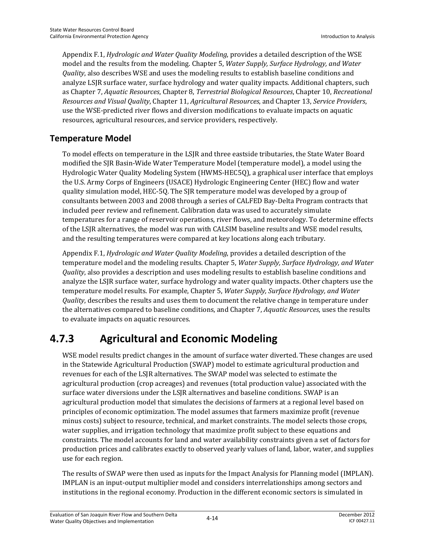Appendix F.1, *Hydrologic and Water Quality Modeling*, provides a detailed description of the WSE model and the results from the modeling. Chapter 5, *Water Supply, Surface Hydrology, and Water Quality*, also describes WSE and uses the modeling results to establish baseline conditions and analyze LSJR surface water, surface hydrology and water quality impacts. Additional chapters, such as Chapter 7, *Aquatic Resources*, Chapter 8, *Terrestrial Biological Resources*, Chapter 10, *Recreational Resources and Visual Quality*, Chapter 11, *Agricultural Resources*, and Chapter 13, *Service Providers*, use the WSE-predicted river flows and diversion modifications to evaluate impacts on aquatic resources, agricultural resources, and service providers, respectively.

#### **Temperature Model**

To model effects on temperature in the LSJR and three eastside tributaries, the State Water Board modified the SJR Basin-Wide Water Temperature Model (temperature model), a model using the Hydrologic Water Quality Modeling System (HWMS-HEC5Q), a graphical user interface that employs the U.S. Army Corps of Engineers (USACE) Hydrologic Engineering Center (HEC) flow and water quality simulation model, HEC-5Q. The SJR temperature model was developed by a group of consultants between 2003 and 2008 through a series of CALFED Bay-Delta Program contracts that included peer review and refinement. Calibration data was used to accurately simulate temperatures for a range of reservoir operations, river flows, and meteorology. To determine effects of the LSJR alternatives, the model was run with CALSIM baseline results and WSE model results, and the resulting temperatures were compared at key locations along each tributary.

Appendix F.1, *Hydrologic and Water Quality Modeling*, provides a detailed description of the temperature model and the modeling results. Chapter 5, *Water Supply, Surface Hydrology, and Water Quality*, also provides a description and uses modeling results to establish baseline conditions and analyze the LSJR surface water, surface hydrology and water quality impacts. Other chapters use the temperature model results. For example, Chapter 5, *Water Supply, Surface Hydrology, and Water Quality*, describes the results and uses them to document the relative change in temperature under the alternatives compared to baseline conditions, and Chapter 7, *Aquatic Resources*, uses the results to evaluate impacts on aquatic resources.

## **4.7.3 Agricultural and Economic Modeling**

WSE model results predict changes in the amount of surface water diverted. These changes are used in the Statewide Agricultural Production (SWAP) model to estimate agricultural production and revenues for each of the LSJR alternatives. The SWAP model was selected to estimate the agricultural production (crop acreages) and revenues (total production value) associated with the surface water diversions under the LSJR alternatives and baseline conditions. SWAP is an agricultural production model that simulates the decisions of farmers at a regional level based on principles of economic optimization. The model assumes that farmers maximize profit (revenue minus costs) subject to resource, technical, and market constraints. The model selects those crops, water supplies, and irrigation technology that maximize profit subject to these equations and constraints. The model accounts for land and water availability constraints given a set of factors for production prices and calibrates exactly to observed yearly values of land, labor, water, and supplies use for each region.

The results of SWAP were then used as inputs for the Impact Analysis for Planning model (IMPLAN). IMPLAN is an input-output multiplier model and considers interrelationships among sectors and institutions in the regional economy. Production in the different economic sectors is simulated in